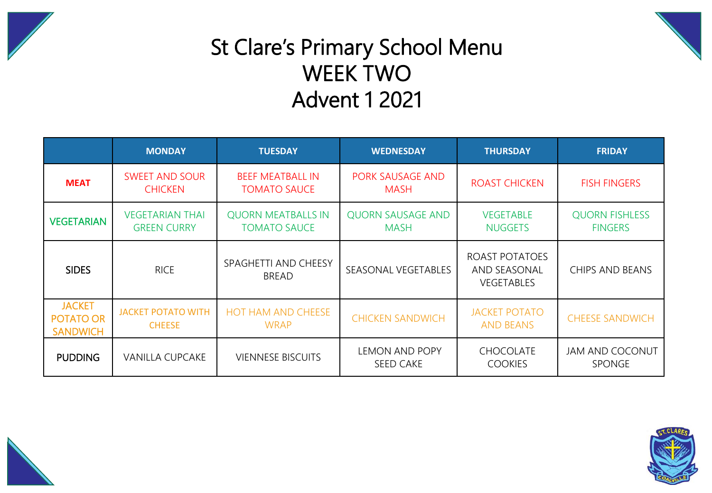



## St Clare's Primary School Menu WEEK TWO Advent 1 2021

|                                                      | <b>MONDAY</b>                                | <b>TUESDAY</b>                                   | <b>WEDNESDAY</b>                        | <b>THURSDAY</b>                                            | <b>FRIDAY</b>                           |  |
|------------------------------------------------------|----------------------------------------------|--------------------------------------------------|-----------------------------------------|------------------------------------------------------------|-----------------------------------------|--|
| <b>MEAT</b>                                          | <b>SWEET AND SOUR</b><br><b>CHICKEN</b>      | <b>BEEF MEATBALL IN</b><br><b>TOMATO SAUCE</b>   | PORK SAUSAGE AND<br><b>MASH</b>         | <b>ROAST CHICKEN</b>                                       | <b>FISH FINGERS</b>                     |  |
| <b>VEGETARIAN</b>                                    | <b>VEGETARIAN THAI</b><br><b>GREEN CURRY</b> | <b>QUORN MEATBALLS IN</b><br><b>TOMATO SAUCE</b> | <b>QUORN SAUSAGE AND</b><br><b>MASH</b> | <b>VEGETABLE</b><br><b>NUGGETS</b>                         | <b>QUORN FISHLESS</b><br><b>FINGERS</b> |  |
| <b>SIDES</b>                                         | <b>RICE</b>                                  | SPAGHETTI AND CHEESY<br><b>BREAD</b>             | SEASONAL VEGETABLES                     | ROAST POTATOES<br><b>AND SEASONAL</b><br><b>VEGETABLES</b> | CHIPS AND BEANS                         |  |
| <b>JACKET</b><br><b>POTATO OR</b><br><b>SANDWICH</b> | <b>JACKET POTATO WITH</b><br><b>CHEESE</b>   | <b>HOT HAM AND CHEESE</b><br><b>WRAP</b>         | <b>CHICKEN SANDWICH</b>                 | <b>JACKET POTATO</b><br><b>AND BEANS</b>                   | <b>CHEESE SANDWICH</b>                  |  |
| <b>PUDDING</b>                                       | <b>VANILLA CUPCAKE</b>                       | <b>VIENNESE BISCUITS</b>                         | LEMON AND POPY<br>SEED CAKE             | <b>CHOCOLATE</b><br><b>COOKIES</b>                         | <b>JAM AND COCONUT</b><br><b>SPONGE</b> |  |